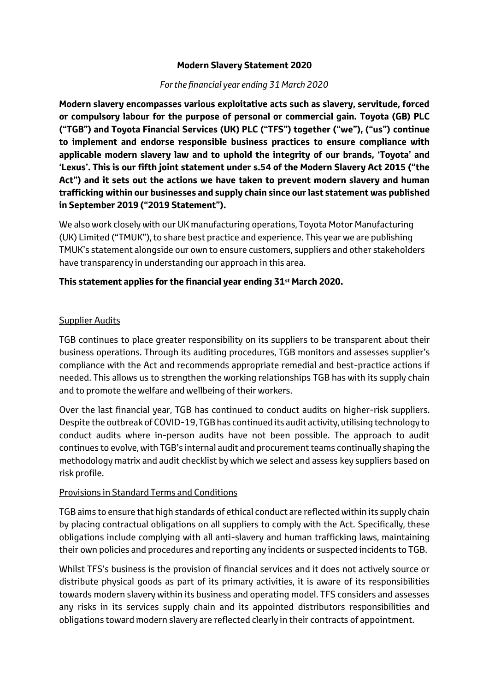#### **Modern Slavery Statement 2020**

#### *For the financial year ending 31 March 2020*

**Modern slavery encompasses various exploitative acts such as slavery, servitude, forced or compulsory labour for the purpose of personal or commercial gain. Toyota (GB) PLC ("TGB") and Toyota Financial Services (UK) PLC ("TFS") together ("we"), ("us") continue to implement and endorse responsible business practices to ensure compliance with applicable modern slavery law and to uphold the integrity of our brands, 'Toyota' and 'Lexus'. This is our fifth joint statement under s.54 of the Modern Slavery Act 2015 ("the Act") and it sets out the actions we have taken to prevent modern slavery and human trafficking within our businesses and supply chain since our last statement was published in September 2019 ("2019 Statement").** 

We also work closely with our UK manufacturing operations, Toyota Motor Manufacturing (UK) Limited ("TMUK"), to share best practice and experience. This year we are publishing TMUK's statement alongside our own to ensure customers, suppliers and other stakeholders have transparency in understanding our approach in this area.

## **This statement applies for the financial year ending 31st March 2020.**

#### Supplier Audits

TGB continues to place greater responsibility on its suppliers to be transparent about their business operations. Through its auditing procedures, TGB monitors and assesses supplier's compliance with the Act and recommends appropriate remedial and best-practice actions if needed. This allows us to strengthen the working relationships TGB has with its supply chain and to promote the welfare and wellbeing of their workers.

Over the last financial year, TGB has continued to conduct audits on higher-risk suppliers. Despite the outbreak of COVID-19, TGB has continued its audit activity, utilising technology to conduct audits where in-person audits have not been possible. The approach to audit continues to evolve, with TGB's internal audit and procurement teams continually shaping the methodology matrix and audit checklist by which we select and assess key suppliers based on risk profile.

## Provisions in Standard Terms and Conditions

TGB aims to ensure that high standards of ethical conduct are reflected within its supply chain by placing contractual obligations on all suppliers to comply with the Act. Specifically, these obligations include complying with all anti-slavery and human trafficking laws, maintaining their own policies and procedures and reporting any incidents or suspected incidents to TGB.

Whilst TFS's business is the provision of financial services and it does not actively source or distribute physical goods as part of its primary activities, it is aware of its responsibilities towards modern slavery within its business and operating model. TFS considers and assesses any risks in its services supply chain and its appointed distributors responsibilities and obligations toward modern slavery are reflected clearly in their contracts of appointment.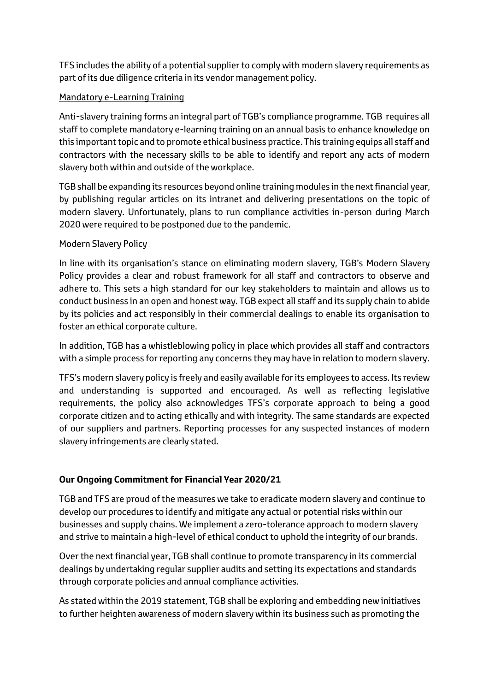TFS includes the ability of a potential supplier to comply with modern slavery requirements as part of its due diligence criteria in its vendor management policy.

# Mandatory e-Learning Training

Anti-slavery training forms an integral part of TGB's compliance programme. TGB requires all staff to complete mandatory e-learning training on an annual basis to enhance knowledge on this important topic and to promote ethical business practice. This training equips all staff and contractors with the necessary skills to be able to identify and report any acts of modern slavery both within and outside of the workplace.

TGB shall be expanding its resources beyond online training modules in the next financial year, by publishing regular articles on its intranet and delivering presentations on the topic of modern slavery. Unfortunately, plans to run compliance activities in-person during March 2020 were required to be postponed due to the pandemic.

## Modern Slavery Policy

In line with its organisation's stance on eliminating modern slavery, TGB's Modern Slavery Policy provides a clear and robust framework for all staff and contractors to observe and adhere to. This sets a high standard for our key stakeholders to maintain and allows us to conduct business in an open and honest way. TGB expect all staff and its supply chain to abide by its policies and act responsibly in their commercial dealings to enable its organisation to foster an ethical corporate culture.

In addition, TGB has a whistleblowing policy in place which provides all staff and contractors with a simple process for reporting any concerns they may have in relation to modern slavery.

TFS's modern slavery policy is freely and easily available for its employees to access. Its review and understanding is supported and encouraged. As well as reflecting legislative requirements, the policy also acknowledges TFS's corporate approach to being a good corporate citizen and to acting ethically and with integrity. The same standards are expected of our suppliers and partners. Reporting processes for any suspected instances of modern slavery infringements are clearly stated.

# **Our Ongoing Commitment for Financial Year 2020/21**

TGB and TFS are proud of the measures we take to eradicate modern slavery and continue to develop our procedures to identify and mitigate any actual or potential risks within our businesses and supply chains. We implement a zero-tolerance approach to modern slavery and strive to maintain a high-level of ethical conduct to uphold the integrity of our brands.

Over the next financial year, TGB shall continue to promote transparency in its commercial dealings by undertaking regular supplier audits and setting its expectations and standards through corporate policies and annual compliance activities.

As stated within the 2019 statement, TGB shall be exploring and embedding new initiatives to further heighten awareness of modern slavery within its business such as promoting the